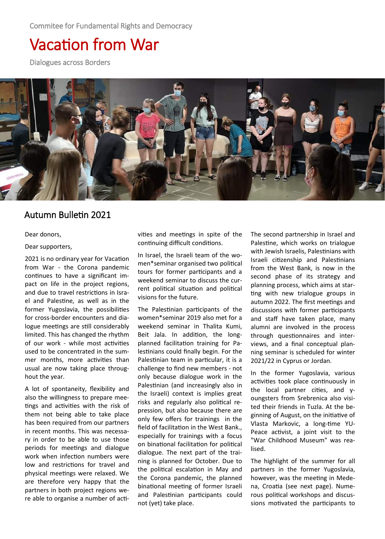Commitee for Fundamental Rights and Democracy

# Vacation from War

Dialogues across Borders



## Autumn Bulletin 2021

Dear donors,

Dear supporters,

2021 is no ordinary year for Vacation from War - the Corona pandemic continues to have a significant impact on life in the project regions, and due to travel restrictions in Israel and Palestine, as well as in the former Yugoslavia, the possibilities for cross-border encounters and dialogue meetings are still considerably limited. This has changed the rhythm of our work - while most activities used to be concentrated in the summer months, more activities than usual are now taking place throughout the year.

A lot of spontaneity, flexibility and also the willingness to prepare meetings and activities with the risk of them not being able to take place has been required from our partners in recent months. This was necessary in order to be able to use those periods for meetings and dialogue work when infection numbers were low and restrictions for travel and physical meetings were relaxed. We are therefore very happy that the partners in both project regions were able to organise a number of activities and meetings in spite of the continuing difficult conditions.

In Israel, the Israeli team of the women\*seminar organised two political tours for former participants and a weekend seminar to discuss the current political situation and political visions for the future.

The Palestinian participants of the women\*seminar 2019 also met for a weekend seminar in Thalita Kumi, Beit Jala. In addition, the longplanned facilitation training for Palestinians could finally begin. For the Palestinian team in particular, it is a challenge to find new members - not only because dialogue work in the Palestinian (and increasingly also in the Israeli) context is implies great risks and regularly also political repression, but also because there are only few offers for trainings in the field of facilitation in the West Bank., especially for trainings with a focus on binational facilitation for political dialogue. The next part of the training is planned for October. Due to the political escalation in May and the Corona pandemic, the planned binational meeting of former Israeli and Palestinian participants could not (yet) take place.

The second partnership in Israel and Palestine, which works on trialogue with Jewish Israelis, Palestinians with Israeli citizenship and Palestinians from the West Bank, is now in the second phase of its strategy and planning process, which aims at starting with new trialogue groups in autumn 2022. The first meetings and discussions with former participants and staff have taken place, many alumni are involved in the process through questionnaires and interviews, and a final conceptual planning seminar is scheduled for winter 2021/22 in Cyprus or Jordan.

In the former Yugoslavia, various activities took place continuously in the local partner cities, and youngsters from Srebrenica also visited their friends in Tuzla. At the beginning of August, on the initiative of Vlasta Markovic, a long-time YU-Peace activist, a joint visit to the "War Childhood Museum" was realised.

The highlight of the summer for all partners in the former Yugoslavia, however, was the meeting in Medena, Croatia (see next page). Numerous political workshops and discussions motivated the participants to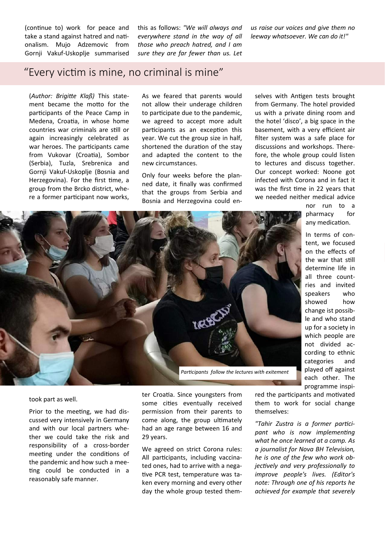(continue to) work for peace and take a stand against hatred and nationalism. Mujo Adzemovic from Gornji Vakuf-Uskoplje summarised this as follows: *"We will always and everywhere stand in the way of all those who preach hatred, and I am sure they are far fewer than us. Let*  *us raise our voices and give them no leeway whatsoever. We can do it!"* 

## "Every victim is mine, no criminal is mine"

(*Author: Brigitte Klaß)* This statement became the motto for the participants of the Peace Camp in Medena, Croatia, in whose home countries war criminals are still or again increasingly celebrated as war heroes. The participants came from Vukovar (Croatia), Sombor (Serbia), Tuzla, Srebrenica and Gornji Vakuf-Uskoplje (Bosnia and Herzegovina). For the first time, a group from the Brcko district, where a former participant now works,

As we feared that parents would not allow their underage children to participate due to the pandemic, we agreed to accept more adult participants as an exception this year. We cut the group size in half, shortened the duration of the stay and adapted the content to the new circumstances.

Only four weeks before the planned date, it finally was confirmed that the groups from Serbia and Bosnia and Herzegovina could en-

selves with Antigen tests brought from Germany. The hotel provided us with a private dining room and the hotel 'disco', a big space in the basement, with a very efficient air filter system was a safe place for discussions and workshops. Therefore, the whole group could listen to lectures and discuss together. Our concept worked: Noone got infected with Corona and in fact it was the first time in 22 years that we needed neither medical advice

> nor run to a pharmacy for any medication.

In terms of content, we focused on the effects of the war that still determine life in all three countries and invited speakers who showed how change ist possible and who stand up for a society in which people are not divided according to ethnic categories and played off against each other. The programme inspi-



took part as well.

Prior to the meeting, we had discussed very intensively in Germany and with our local partners whether we could take the risk and responsibility of a cross-border meeting under the conditions of the pandemic and how such a meeting could be conducted in a reasonably safe manner.

ter Croatia. Since youngsters from some cities eventually received permission from their parents to come along, the group ultimately had an age range between 16 and 29 years.

We agreed on strict Corona rules: All participants, including vaccinated ones, had to arrive with a negative PCR test, temperature was taken every morning and every other day the whole group tested them-

red the participants and motivated them to work for social change themselves:

*"Tahir Zustra is a former participant who is now implementing what he once learned at a camp. As a journalist for Nova BH Television, he is one of the few who work objectively and very professionally to improve people's lives. (Editor's note: Through one of his reports he achieved for example that severely*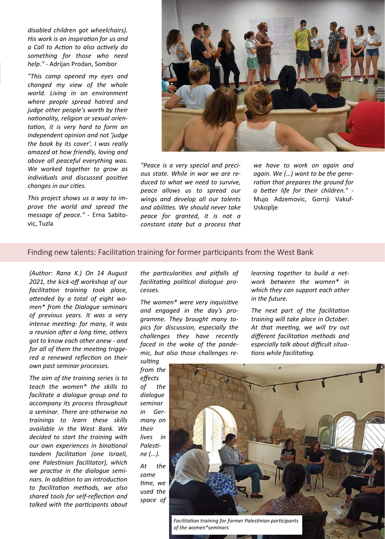*disabled children got wheelchairs). His work is an inspiration for us and a Call to Action to also actively do something for those who need help."* - Adrijan Prodan, Sombor

*"This camp opened my eyes and changed my view of the whole world. Living in an environment where people spread hatred and judge other people's worth by their nationality, religion or sexual orientation, it is very hard to form an independent opinion and not 'judge the book by its cover'. I was really amazed at how friendly, loving and above all peaceful everything was. We worked together to grow as individuals and discussed positive changes in our cities.*

*This project shows us a way to improve the world and spread the message of peace."* - Erna Sabitovic, Tuzla



*"Peace is a very special and precious state. While in war we are reduced to what we need to survive, peace allows us to spread our wings and develop all our talents and abilities. We should never take peace for granted, it is not a constant state but a process that*  *we have to work on again and again. We (…) want to be the generation that prepares the ground for a better life for their children."* - Mujo Adzemovic, Gornji Vakuf-Uskoplje

## Finding new talents: Facilitation training for former participants from the West Bank

*(Author: Rana K.) On 14 August 2021, the kick-off workshop of our facilitation training took place, attended by a total of eight women\* from the Dialogue seminars of previous years. It was a very intense meeting: for many, it was a reunion after a long time, others got to know each other anew - and for all of them the meeting triggered a renewed reflection on their own past seminar processes.* 

*The aim of the training series is to teach the women\* the skills to facilitate a dialogue group and to accompany its process throughout a seminar. There are otherwise no trainings to learn these skills available in the West Bank. We decided to start the training with our own experiences in binational tandem facilitation (one Israeli, one Palestinian facilitator), which we practise in the dialogue seminars. In addition to an introduction to facilitation methods, we also shared tools for self-reflection and talked with the participants about* 

*the particularities and pitfalls of facilitating political dialogue processes.* 

*The women\* were very inquisitive and engaged in the day's programme. They brought many topics for discussion, especially the challenges they have recently faced in the wake of the pandemic, but also those challenges re-* *learning together to build a network between the women\* in which they can support each other in the future.*

*The next part of the facilitation training will take place in October. At that meeting, we will try out different facilitation methods and especially talk about difficult situations while facilitating.* 

*sulting from the effects of the dialogue seminar in Germany on their lives in Palestine (...). At the same time, we used the space of* 



*Facilitation training for former Palestinian participants of the women\*seminars*